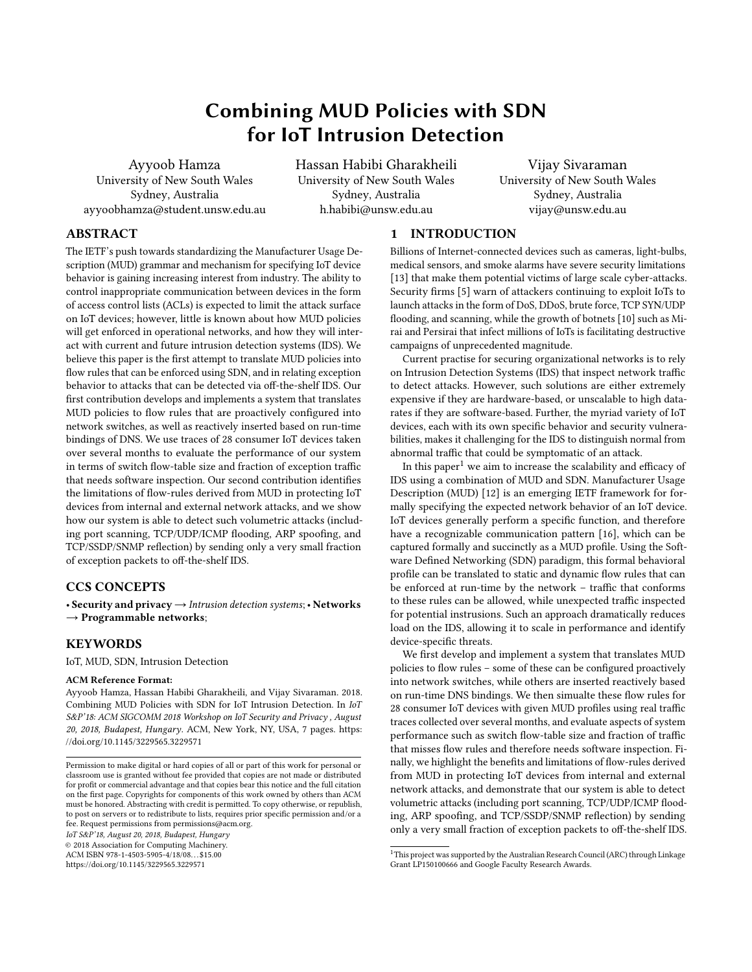# Combining MUD Policies with SDN for IoT Intrusion Detection

Ayyoob Hamza University of New South Wales Sydney, Australia ayyoobhamza@student.unsw.edu.au Hassan Habibi Gharakheili University of New South Wales Sydney, Australia h.habibi@unsw.edu.au

Vijay Sivaraman University of New South Wales Sydney, Australia vijay@unsw.edu.au

# ABSTRACT

The IETF's push towards standardizing the Manufacturer Usage Description (MUD) grammar and mechanism for specifying IoT device behavior is gaining increasing interest from industry. The ability to control inappropriate communication between devices in the form of access control lists (ACLs) is expected to limit the attack surface on IoT devices; however, little is known about how MUD policies will get enforced in operational networks, and how they will interact with current and future intrusion detection systems (IDS). We believe this paper is the first attempt to translate MUD policies into flow rules that can be enforced using SDN, and in relating exception behavior to attacks that can be detected via off-the-shelf IDS. Our first contribution develops and implements a system that translates MUD policies to flow rules that are proactively configured into network switches, as well as reactively inserted based on run-time bindings of DNS. We use traces of 28 consumer IoT devices taken over several months to evaluate the performance of our system in terms of switch flow-table size and fraction of exception traffic that needs software inspection. Our second contribution identifies the limitations of flow-rules derived from MUD in protecting IoT devices from internal and external network attacks, and we show how our system is able to detect such volumetric attacks (including port scanning, TCP/UDP/ICMP flooding, ARP spoofing, and TCP/SSDP/SNMP reflection) by sending only a very small fraction of exception packets to off-the-shelf IDS.

# CCS CONCEPTS

• Security and privacy→Intrusion detection systems; • Networks  $\rightarrow$  Programmable networks;

# **KEYWORDS**

IoT, MUD, SDN, Intrusion Detection

#### ACM Reference Format:

Ayyoob Hamza, Hassan Habibi Gharakheili, and Vijay Sivaraman. 2018. Combining MUD Policies with SDN for IoT Intrusion Detection. In IoT S&P'18: ACM SIGCOMM 2018 Workshop on IoT Security and Privacy , August 20, 2018, Budapest, Hungary. ACM, New York, NY, USA, [7](#page-6-0) pages. [https:](https://doi.org/10.1145/3229565.3229571) [//doi.org/10.1145/3229565.3229571](https://doi.org/10.1145/3229565.3229571)

IoT S&P'18, August 20, 2018, Budapest, Hungary

© 2018 Association for Computing Machinery.

ACM ISBN 978-1-4503-5905-4/18/08. . . \$15.00

<https://doi.org/10.1145/3229565.3229571>

# 1 INTRODUCTION

Billions of Internet-connected devices such as cameras, light-bulbs, medical sensors, and smoke alarms have severe security limitations [\[13\]](#page-6-1) that make them potential victims of large scale cyber-attacks. Security firms [\[5\]](#page-6-2) warn of attackers continuing to exploit IoTs to launch attacks in the form of DoS, DDoS, brute force, TCP SYN/UDP flooding, and scanning, while the growth of botnets [\[10\]](#page-6-3) such as Mirai and Persirai that infect millions of IoTs is facilitating destructive campaigns of unprecedented magnitude.

Current practise for securing organizational networks is to rely on Intrusion Detection Systems (IDS) that inspect network traffic to detect attacks. However, such solutions are either extremely expensive if they are hardware-based, or unscalable to high datarates if they are software-based. Further, the myriad variety of IoT devices, each with its own specific behavior and security vulnerabilities, makes it challenging for the IDS to distinguish normal from abnormal traffic that could be symptomatic of an attack.

In this paper<sup>[1](#page-0-0)</sup> we aim to increase the scalability and efficacy of IDS using a combination of MUD and SDN. Manufacturer Usage Description (MUD) [\[12\]](#page-6-4) is an emerging IETF framework for formally specifying the expected network behavior of an IoT device. IoT devices generally perform a specific function, and therefore have a recognizable communication pattern [\[16\]](#page-6-5), which can be captured formally and succinctly as a MUD profile. Using the Software Defined Networking (SDN) paradigm, this formal behavioral profile can be translated to static and dynamic flow rules that can be enforced at run-time by the network – traffic that conforms to these rules can be allowed, while unexpected traffic inspected for potential instrusions. Such an approach dramatically reduces load on the IDS, allowing it to scale in performance and identify device-specific threats.

We first develop and implement a system that translates MUD policies to flow rules – some of these can be configured proactively into network switches, while others are inserted reactively based on run-time DNS bindings. We then simualte these flow rules for 28 consumer IoT devices with given MUD profiles using real traffic traces collected over several months, and evaluate aspects of system performance such as switch flow-table size and fraction of traffic that misses flow rules and therefore needs software inspection. Finally, we highlight the benefits and limitations of flow-rules derived from MUD in protecting IoT devices from internal and external network attacks, and demonstrate that our system is able to detect volumetric attacks (including port scanning, TCP/UDP/ICMP flooding, ARP spoofing, and TCP/SSDP/SNMP reflection) by sending only a very small fraction of exception packets to off-the-shelf IDS.

Permission to make digital or hard copies of all or part of this work for personal or classroom use is granted without fee provided that copies are not made or distributed for profit or commercial advantage and that copies bear this notice and the full citation on the first page. Copyrights for components of this work owned by others than ACM must be honored. Abstracting with credit is permitted. To copy otherwise, or republish, to post on servers or to redistribute to lists, requires prior specific permission and/or a fee. Request permissions from permissions@acm.org.

<span id="page-0-0"></span> $^{\rm 1}$  This project was supported by the Australian Research Council (ARC) through Linkage Grant LP150100666 and Google Faculty Research Awards.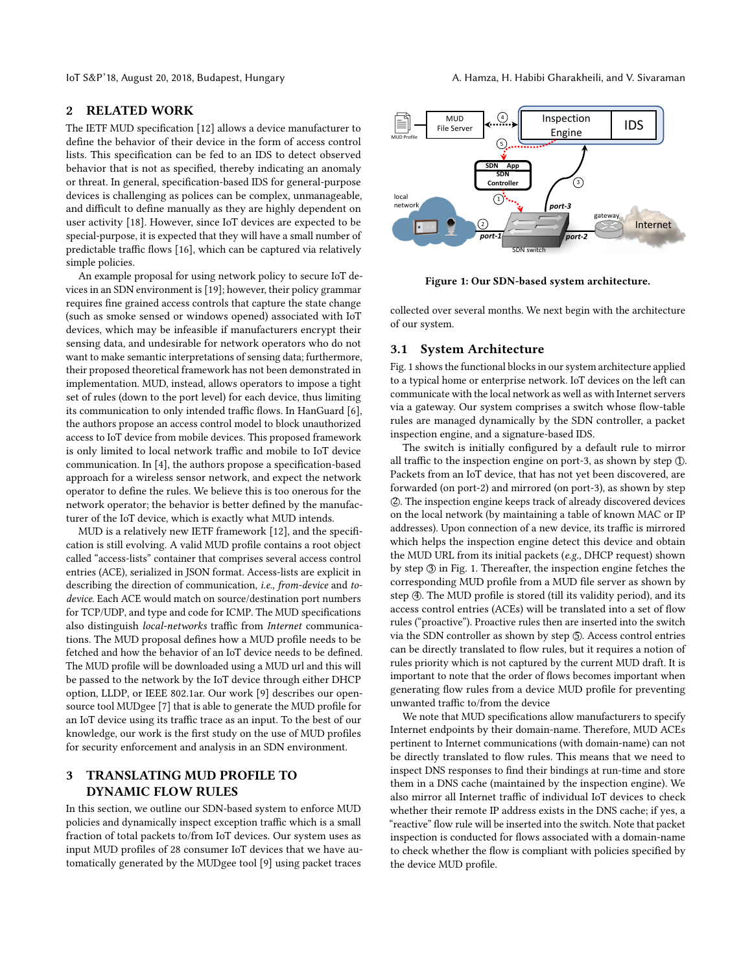# 2 RELATED WORK

The IETF MUD specification [\[12\]](#page-6-4) allows a device manufacturer to define the behavior of their device in the form of access control lists. This specification can be fed to an IDS to detect observed behavior that is not as specified, thereby indicating an anomaly or threat. In general, specification-based IDS for general-purpose devices is challenging as polices can be complex, unmanageable, and difficult to define manually as they are highly dependent on user activity [\[18\]](#page-6-6). However, since IoT devices are expected to be special-purpose, it is expected that they will have a small number of predictable traffic flows [\[16\]](#page-6-5), which can be captured via relatively simple policies.

An example proposal for using network policy to secure IoT devices in an SDN environment is [\[19\]](#page-6-7); however, their policy grammar requires fine grained access controls that capture the state change (such as smoke sensed or windows opened) associated with IoT devices, which may be infeasible if manufacturers encrypt their sensing data, and undesirable for network operators who do not want to make semantic interpretations of sensing data; furthermore, their proposed theoretical framework has not been demonstrated in implementation. MUD, instead, allows operators to impose a tight set of rules (down to the port level) for each device, thus limiting its communication to only intended traffic flows. In HanGuard [\[6\]](#page-6-8), the authors propose an access control model to block unauthorized access to IoT device from mobile devices. This proposed framework is only limited to local network traffic and mobile to IoT device communication. In [\[4\]](#page-6-9), the authors propose a specification-based approach for a wireless sensor network, and expect the network operator to define the rules. We believe this is too onerous for the network operator; the behavior is better defined by the manufacturer of the IoT device, which is exactly what MUD intends.

MUD is a relatively new IETF framework [\[12\]](#page-6-4), and the specification is still evolving. A valid MUD profile contains a root object called "access-lists" container that comprises several access control entries (ACE), serialized in JSON format. Access-lists are explicit in describing the direction of communication, i.e., from-device and todevice. Each ACE would match on source/destination port numbers for TCP/UDP, and type and code for ICMP. The MUD specifications also distinguish local-networks traffic from Internet communications. The MUD proposal defines how a MUD profile needs to be fetched and how the behavior of an IoT device needs to be defined. The MUD profile will be downloaded using a MUD url and this will be passed to the network by the IoT device through either DHCP option, LLDP, or IEEE 802.1ar. Our work [\[9\]](#page-6-10) describes our opensource tool MUDgee [\[7\]](#page-6-11) that is able to generate the MUD profile for an IoT device using its traffic trace as an input. To the best of our knowledge, our work is the first study on the use of MUD profiles for security enforcement and analysis in an SDN environment.

# 3 TRANSLATING MUD PROFILE TO DYNAMIC FLOW RULES

In this section, we outline our SDN-based system to enforce MUD policies and dynamically inspect exception traffic which is a small fraction of total packets to/from IoT devices. Our system uses as input MUD profiles of 28 consumer IoT devices that we have automatically generated by the MUDgee tool [\[9\]](#page-6-10) using packet traces

<span id="page-1-0"></span>

Figure 1: Our SDN-based system architecture.

collected over several months. We next begin with the architecture of our system.

#### 3.1 System Architecture

Fig. [1](#page-1-0) shows the functional blocks in our system architecture applied to a typical home or enterprise network. IoT devices on the left can communicate with the local network as well as with Internet servers via a gateway. Our system comprises a switch whose flow-table rules are managed dynamically by the SDN controller, a packet inspection engine, and a signature-based IDS.

The switch is initially configured by a default rule to mirror all traffic to the inspection engine on port-3, as shown by step  $(1)$ . Packets from an IoT device, that has not yet been discovered, are forwarded (on port-2) and mirrored (on port-3), as shown by step ⃝2 . The inspection engine keeps track of already discovered devices on the local network (by maintaining a table of known MAC or IP addresses). Upon connection of a new device, its traffic is mirrored which helps the inspection engine detect this device and obtain the MUD URL from its initial packets (e.g., DHCP request) shown by step  $\circled{3}$  in Fig. [1.](#page-1-0) Thereafter, the inspection engine fetches the corresponding MUD profile from a MUD file server as shown by step  $\circled{4}$ . The MUD profile is stored (till its validity period), and its access control entries (ACEs) will be translated into a set of flow rules ("proactive"). Proactive rules then are inserted into the switch via the SDN controller as shown by step  $\circledS$ . Access control entries can be directly translated to flow rules, but it requires a notion of rules priority which is not captured by the current MUD draft. It is important to note that the order of flows becomes important when generating flow rules from a device MUD profile for preventing unwanted traffic to/from the device

We note that MUD specifications allow manufacturers to specify Internet endpoints by their domain-name. Therefore, MUD ACEs pertinent to Internet communications (with domain-name) can not be directly translated to flow rules. This means that we need to inspect DNS responses to find their bindings at run-time and store them in a DNS cache (maintained by the inspection engine). We also mirror all Internet traffic of individual IoT devices to check whether their remote IP address exists in the DNS cache; if yes, a "reactive" flow rule will be inserted into the switch. Note that packet inspection is conducted for flows associated with a domain-name to check whether the flow is compliant with policies specified by the device MUD profile.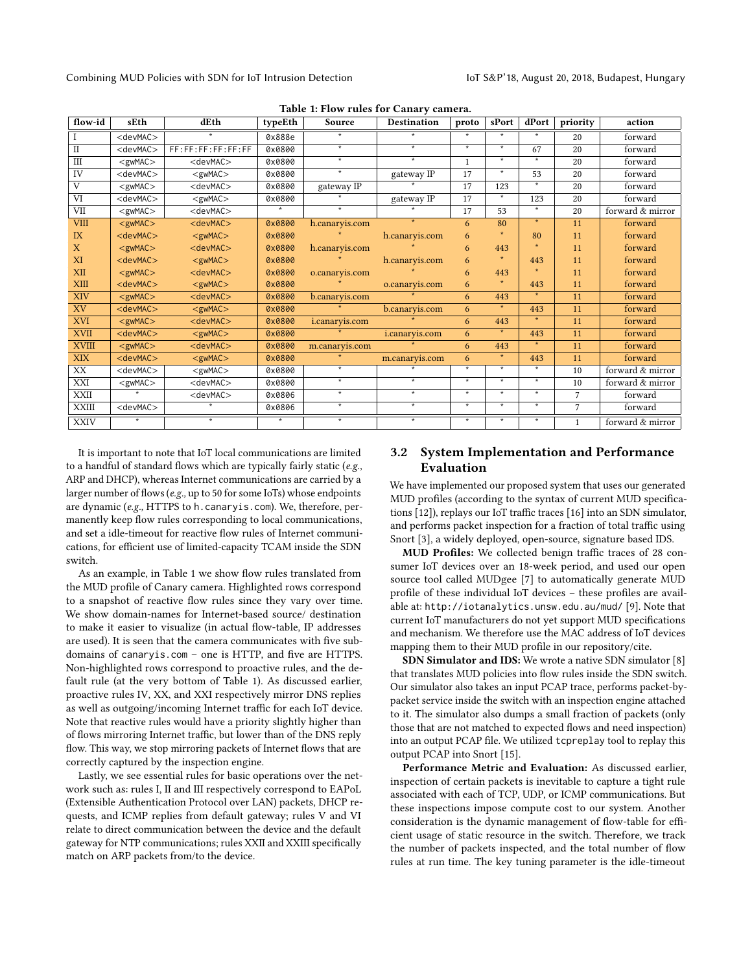<span id="page-2-0"></span>

| flow-id      | sEth              | dEth              | typeEth | Source            | <b>Destination</b>    | proto             | sPort             | dPort   | priority | action           |
|--------------|-------------------|-------------------|---------|-------------------|-----------------------|-------------------|-------------------|---------|----------|------------------|
|              | <devmac></devmac> |                   | 0x888e  | $\star$           | $\star$               | $\star$           | $\star$           | $\star$ | 20       | forward          |
| $\rm II$     | <devmac></devmac> | FF:FF:FF:FF:FF:FF | 0x0800  | $\star$           | $\star$               | $\star$           | $\star$           | 67      | 20       | forward          |
| Ш            | $<$ gwMAC $>$     | $<$ devMAC $>$    | 0x0800  | $\star$           | $\star$               | $\mathbf{1}$      | $\star$           | $\star$ | 20       | forward          |
| IV           | $<$ devMAC $>$    | $<$ gwMAC $>$     | 0x0800  | $\star$           | gateway IP            | 17                | $\star$           | 53      | 20       | forward          |
| V            | $<$ gwMAC $>$     | $<$ devMAC $>$    | 0x0800  | gateway IP        |                       | 17                | 123               | $\star$ | 20       | forward          |
| VI           | <devmac></devmac> | $<$ gwMAC $>$     | 0x0800  |                   | gateway IP            | 17                | $\star$           | 123     | 20       | forward          |
| <b>VII</b>   | $<$ gwMAC $>$     | <devmac></devmac> | ÷       | $\star$           |                       | 17                | 53                | $\star$ | 20       | forward & mirror |
| <b>VIII</b>  | $<$ gwMAC $>$     | $<$ devMAC $>$    | 0x0800  | h.canaryis.com    | $\star$               | 6                 | 80                | $\star$ | 11       | forward          |
| IX           | $<$ devMAC $>$    | $< g$ wMAC $>$    | 0x0800  |                   | h.canaryis.com        | 6                 | $\star$           | 80      | 11       | forward          |
| X            | $<$ gwMAC $>$     | $<$ devMAC $>$    | 0x0800  | h.canaryis.com    |                       | 6                 | 443               | $\star$ | 11       | forward          |
| XI           | <devmac></devmac> | $<$ gwMAC $>$     | 0x0800  |                   | h.canaryis.com        | 6                 | $\star$           | 443     | 11       | forward          |
| <b>XII</b>   | $<$ gwMAC $>$     | $<$ devMAC $>$    | 0x0800  | o.canaryis.com    |                       | 6                 | 443               | $\star$ | 11       | forward          |
| <b>XIII</b>  | $<$ devMAC $>$    | $<$ gwMAC $>$     | 0x0800  |                   | o.canaryis.com        | 6                 | $\star$           | 443     | 11       | forward          |
| <b>XIV</b>   | $<$ gwMAC $>$     | $<$ devMAC $>$    | 0x0800  | b.canaryis.com    |                       | 6                 | 443               | $\star$ | 11       | forward          |
| XV           | <devmac></devmac> | $<$ gwMAC $>$     | 0x0800  |                   | b.canaryis.com        | 6                 | $\star$           | 443     | 11       | forward          |
| <b>XVI</b>   | $<$ gwMAC $>$     | $<$ devMAC $>$    | 0x0800  | i.canaryis.com    |                       | 6                 | 443               | $\star$ | 11       | forward          |
| <b>XVII</b>  | <devmac></devmac> | $<$ gwMAC $>$     | 0x0800  |                   | <i>i.canaryis.com</i> | 6                 | $\star$           | 443     | 11       | forward          |
| <b>XVIII</b> | $<$ gwMAC $>$     | $<$ devMAC $>$    | 0x0800  | m.canaryis.com    |                       | 6                 | 443               | $\star$ | 11       | forward          |
| <b>XIX</b>   | $<$ devMAC $>$    | $<$ gwMAC $>$     | 0x0800  |                   | m.canaryis.com        | 6                 | $\star$           | 443     | 11       | forward          |
| XX           | $<$ devMAC $>$    | $<$ gwMAC $>$     | 0x0800  | $\star$           | $\Phi$                | $\star$           | $\star$           | $\star$ | 10       | forward & mirror |
| XXI          | $<$ gwMAC $>$     | <devmac></devmac> | 0x0800  | $\overline{\ast}$ | $\overline{\ast}$     | $\overline{\ast}$ | $\overline{\ast}$ | $\star$ | 10       | forward & mirror |
| <b>XXII</b>  | $\star$           | $<$ devMAC $>$    | 0x0806  | $\star$           | $\star$               | $\star$           | $\star$           | $\star$ | 7        | forward          |
| <b>XXIII</b> | $<$ devMAC $>$    | $\star$           | 0x0806  | $\star$           | $\star$               | $\star$           | $\star$           | $\star$ | 7        | forward          |
| <b>XXIV</b>  | $\star$           | $\star$           | $\star$ | $\star$           | $\star$               | $\star$           | $\star$           | $\star$ |          | forward & mirror |

Table 1: Flow rules for Canary camera.

It is important to note that IoT local communications are limited to a handful of standard flows which are typically fairly static (e.g., ARP and DHCP), whereas Internet communications are carried by a larger number of flows (e.g., up to 50 for some IoTs) whose endpoints are dynamic (e.g., HTTPS to h.canaryis.com). We, therefore, permanently keep flow rules corresponding to local communications, and set a idle-timeout for reactive flow rules of Internet communications, for efficient use of limited-capacity TCAM inside the SDN switch.

As an example, in [Table 1](#page-2-0) we show flow rules translated from the MUD profile of Canary camera. Highlighted rows correspond to a snapshot of reactive flow rules since they vary over time. We show domain-names for Internet-based source/ destination to make it easier to visualize (in actual flow-table, IP addresses are used). It is seen that the camera communicates with five subdomains of canaryis.com – one is HTTP, and five are HTTPS. Non-highlighted rows correspond to proactive rules, and the default rule (at the very bottom of [Table 1\)](#page-2-0). As discussed earlier, proactive rules IV, XX, and XXI respectively mirror DNS replies as well as outgoing/incoming Internet traffic for each IoT device. Note that reactive rules would have a priority slightly higher than of flows mirroring Internet traffic, but lower than of the DNS reply flow. This way, we stop mirroring packets of Internet flows that are correctly captured by the inspection engine.

Lastly, we see essential rules for basic operations over the network such as: rules I, II and III respectively correspond to EAPoL (Extensible Authentication Protocol over LAN) packets, DHCP requests, and ICMP replies from default gateway; rules V and VI relate to direct communication between the device and the default gateway for NTP communications; rules XXII and XXIII specifically match on ARP packets from/to the device.

# 3.2 System Implementation and Performance Evaluation

We have implemented our proposed system that uses our generated MUD profiles (according to the syntax of current MUD specifications [\[12\]](#page-6-4)), replays our IoT traffic traces [\[16\]](#page-6-5) into an SDN simulator, and performs packet inspection for a fraction of total traffic using Snort [\[3\]](#page-6-12), a widely deployed, open-source, signature based IDS.

MUD Profiles: We collected benign traffic traces of 28 consumer IoT devices over an 18-week period, and used our open source tool called MUDgee [\[7\]](#page-6-11) to automatically generate MUD profile of these individual IoT devices – these profiles are available at: http://iotanalytics.unsw.edu.au/mud/ [\[9\]](#page-6-10). Note that current IoT manufacturers do not yet support MUD specifications and mechanism. We therefore use the MAC address of IoT devices mapping them to their MUD profile in our repository/cite.

SDN Simulator and IDS: We wrote a native SDN simulator [\[8\]](#page-6-13) that translates MUD policies into flow rules inside the SDN switch. Our simulator also takes an input PCAP trace, performs packet-bypacket service inside the switch with an inspection engine attached to it. The simulator also dumps a small fraction of packets (only those that are not matched to expected flows and need inspection) into an output PCAP file. We utilized tcpreplay tool to replay this output PCAP into Snort [\[15\]](#page-6-14).

Performance Metric and Evaluation: As discussed earlier, inspection of certain packets is inevitable to capture a tight rule associated with each of TCP, UDP, or ICMP communications. But these inspections impose compute cost to our system. Another consideration is the dynamic management of flow-table for efficient usage of static resource in the switch. Therefore, we track the number of packets inspected, and the total number of flow rules at run time. The key tuning parameter is the idle-timeout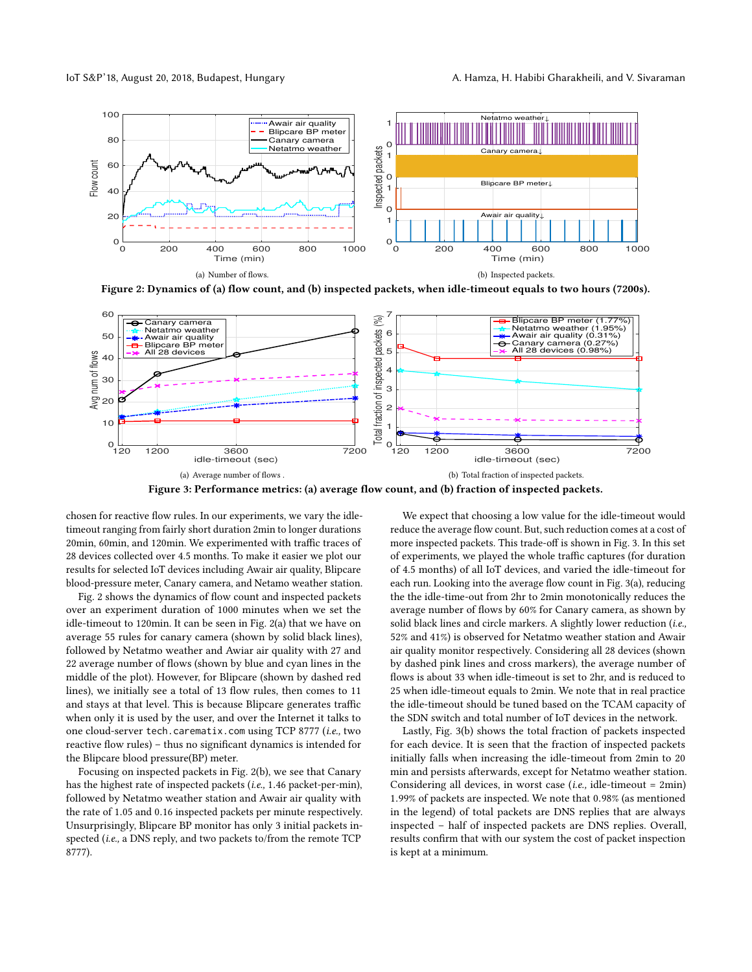<span id="page-3-0"></span>

<span id="page-3-1"></span>Figure 2: Dynamics of (a) flow count, and (b) inspected packets, when idle-timeout equals to two hours (7200s).

<span id="page-3-3"></span>

Figure 3: Performance metrics: (a) average flow count, and (b) fraction of inspected packets.

<span id="page-3-4"></span>chosen for reactive flow rules. In our experiments, we vary the idletimeout ranging from fairly short duration 2min to longer durations 20min, 60min, and 120min. We experimented with traffic traces of 28 devices collected over 4.5 months. To make it easier we plot our results for selected IoT devices including Awair air quality, Blipcare blood-pressure meter, Canary camera, and Netamo weather station.

Fig. [2](#page-3-0) shows the dynamics of flow count and inspected packets over an experiment duration of 1000 minutes when we set the idle-timeout to 120min. It can be seen in Fig. [2\(a\)](#page-3-1) that we have on average 55 rules for canary camera (shown by solid black lines), followed by Netatmo weather and Awiar air quality with 27 and 22 average number of flows (shown by blue and cyan lines in the middle of the plot). However, for Blipcare (shown by dashed red lines), we initially see a total of 13 flow rules, then comes to 11 and stays at that level. This is because Blipcare generates traffic when only it is used by the user, and over the Internet it talks to one cloud-server tech.carematix.com using TCP 8777 (i.e., two reactive flow rules) – thus no significant dynamics is intended for the Blipcare blood pressure(BP) meter.

Focusing on inspected packets in Fig. [2\(b\),](#page-3-2) we see that Canary has the highest rate of inspected packets (i.e., <sup>1</sup>.<sup>46</sup> packet-per-min), followed by Netatmo weather station and Awair air quality with the rate of <sup>1</sup>.<sup>05</sup> and <sup>0</sup>.<sup>16</sup> inspected packets per minute respectively. Unsurprisingly, Blipcare BP monitor has only 3 initial packets inspected (i.e., a DNS reply, and two packets to/from the remote TCP 8777).

<span id="page-3-5"></span><span id="page-3-2"></span>We expect that choosing a low value for the idle-timeout would reduce the average flow count. But, such reduction comes at a cost of more inspected packets. This trade-off is shown in Fig. [3.](#page-3-3) In this set of experiments, we played the whole traffic captures (for duration of 4.5 months) of all IoT devices, and varied the idle-timeout for each run. Looking into the average flow count in Fig. [3\(a\),](#page-3-4) reducing the the idle-time-out from 2hr to 2min monotonically reduces the average number of flows by 60% for Canary camera, as shown by solid black lines and circle markers. A slightly lower reduction (i.e., 52% and 41%) is observed for Netatmo weather station and Awair air quality monitor respectively. Considering all 28 devices (shown by dashed pink lines and cross markers), the average number of flows is about 33 when idle-timeout is set to 2hr, and is reduced to 25 when idle-timeout equals to 2min. We note that in real practice the idle-timeout should be tuned based on the TCAM capacity of the SDN switch and total number of IoT devices in the network.

Lastly, Fig. [3\(b\)](#page-3-5) shows the total fraction of packets inspected for each device. It is seen that the fraction of inspected packets initially falls when increasing the idle-timeout from 2min to 20 min and persists afterwards, except for Netatmo weather station. Considering all devices, in worst case (i.e., idle-timeout = 2min) <sup>1</sup>.99% of packets are inspected. We note that <sup>0</sup>.98% (as mentioned in the legend) of total packets are DNS replies that are always inspected – half of inspected packets are DNS replies. Overall, results confirm that with our system the cost of packet inspection is kept at a minimum.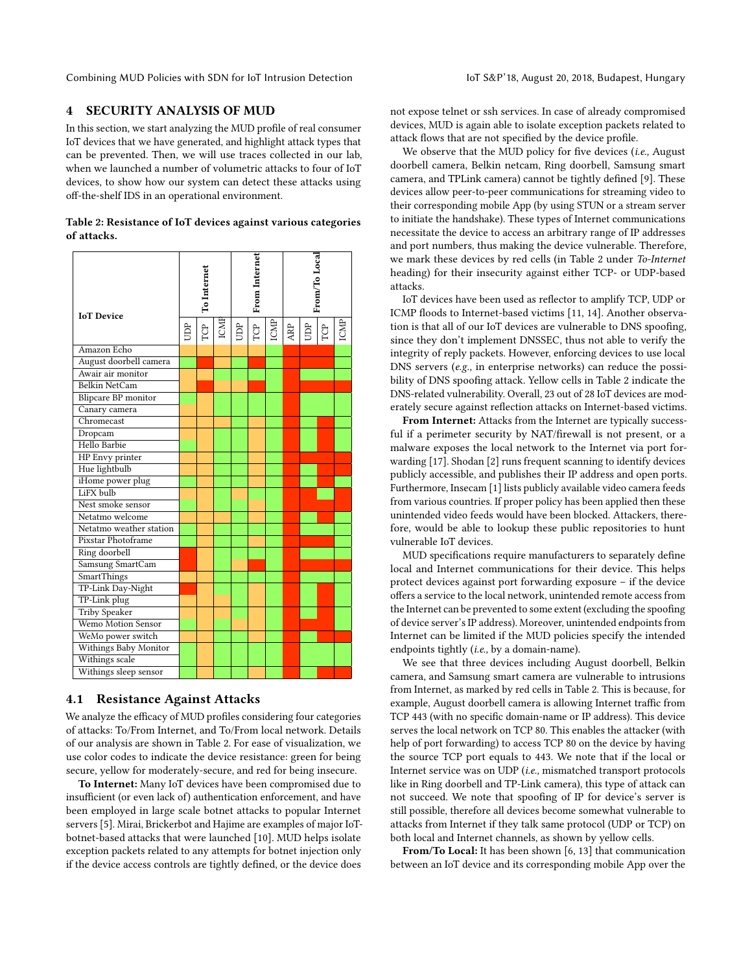Combining MUD Policies with SDN for IoT Intrusion Detection Intervention IoT S&P'18, August 20, 2018, Budapest, Hungary

## 4 SECURITY ANALYSIS OF MUD

In this section, we start analyzing the MUD profile of real consumer IoT devices that we have generated, and highlight attack types that can be prevented. Then, we will use traces collected in our lab, when we launched a number of volumetric attacks to four of IoT devices, to show how our system can detect these attacks using off-the-shelf IDS in an operational environment.

<span id="page-4-0"></span>Table 2: Resistance of IoT devices against various categories of attacks.

| <b>IoT</b> Device                |  | To Internet |                                      |  | From Internet |  |                                           | From/To Local |     |  |  |
|----------------------------------|--|-------------|--------------------------------------|--|---------------|--|-------------------------------------------|---------------|-----|--|--|
|                                  |  | TCP         | $\frac{1}{\left \frac{1}{2}\right }$ |  | TCP           |  | $\frac{1}{2}$ $\frac{1}{2}$ $\frac{1}{2}$ |               | TCP |  |  |
| Amazon Echo                      |  |             |                                      |  |               |  |                                           |               |     |  |  |
| August doorbell camera           |  |             |                                      |  |               |  |                                           |               |     |  |  |
| Awair air monitor                |  |             |                                      |  |               |  |                                           |               |     |  |  |
| Belkin NetCam                    |  |             |                                      |  |               |  |                                           |               |     |  |  |
| Blipcare BP monitor              |  |             |                                      |  |               |  |                                           |               |     |  |  |
| Canary camera                    |  |             |                                      |  |               |  |                                           |               |     |  |  |
| $\overline{\textrm{Chromecast}}$ |  |             |                                      |  |               |  |                                           |               |     |  |  |
| Dropcam                          |  |             |                                      |  |               |  |                                           |               |     |  |  |
| Hello Barbie                     |  |             |                                      |  |               |  |                                           |               |     |  |  |
| HP Envy printer                  |  |             |                                      |  |               |  |                                           |               |     |  |  |
| Hue lightbulb                    |  |             |                                      |  |               |  |                                           |               |     |  |  |
| iHome power plug                 |  |             |                                      |  |               |  |                                           |               |     |  |  |
| LiFX bulb                        |  |             |                                      |  |               |  |                                           |               |     |  |  |
| Nest smoke sensor                |  |             |                                      |  |               |  |                                           |               |     |  |  |
| Netatmo welcome                  |  |             |                                      |  |               |  |                                           |               |     |  |  |
| Netatmo weather station          |  |             |                                      |  |               |  |                                           |               |     |  |  |
| Pixstar Photoframe               |  |             |                                      |  |               |  |                                           |               |     |  |  |
| Ring doorbell                    |  |             |                                      |  |               |  |                                           |               |     |  |  |
| Samsung SmartCam                 |  |             |                                      |  |               |  |                                           |               |     |  |  |
| SmartThings                      |  |             |                                      |  |               |  |                                           |               |     |  |  |
| TP-Link Day-Night                |  |             |                                      |  |               |  |                                           |               |     |  |  |
| TP-Link plug                     |  |             |                                      |  |               |  |                                           |               |     |  |  |
| <b>Triby Speaker</b>             |  |             |                                      |  |               |  |                                           |               |     |  |  |
| Wemo Motion Sensor               |  |             |                                      |  |               |  |                                           |               |     |  |  |
| WeMo power switch                |  |             |                                      |  |               |  |                                           |               |     |  |  |
| Withings Baby Monitor            |  |             |                                      |  |               |  |                                           |               |     |  |  |
| Withings scale                   |  |             |                                      |  |               |  |                                           |               |     |  |  |
| Withings sleep sensor            |  |             |                                      |  |               |  |                                           |               |     |  |  |

#### 4.1 Resistance Against Attacks

We analyze the efficacy of MUD profiles considering four categories of attacks: To/From Internet, and To/From local network. Details of our analysis are shown in [Table 2.](#page-4-0) For ease of visualization, we use color codes to indicate the device resistance: green for being secure, yellow for moderately-secure, and red for being insecure.

To Internet: Many IoT devices have been compromised due to insufficient (or even lack of) authentication enforcement, and have been employed in large scale botnet attacks to popular Internet servers [\[5\]](#page-6-2). Mirai, Brickerbot and Hajime are examples of major IoTbotnet-based attacks that were launched [\[10\]](#page-6-3). MUD helps isolate exception packets related to any attempts for botnet injection only if the device access controls are tightly defined, or the device does

not expose telnet or ssh services. In case of already compromised devices, MUD is again able to isolate exception packets related to attack flows that are not specified by the device profile.

We observe that the MUD policy for five devices (i.e., August doorbell camera, Belkin netcam, Ring doorbell, Samsung smart camera, and TPLink camera) cannot be tightly defined [\[9\]](#page-6-10). These devices allow peer-to-peer communications for streaming video to their corresponding mobile App (by using STUN or a stream server to initiate the handshake). These types of Internet communications necessitate the device to access an arbitrary range of IP addresses and port numbers, thus making the device vulnerable. Therefore, we mark these devices by red cells (in [Table 2](#page-4-0) under To-Internet heading) for their insecurity against either TCP- or UDP-based attacks.

IoT devices have been used as reflector to amplify TCP, UDP or ICMP floods to Internet-based victims [\[11,](#page-6-15) [14\]](#page-6-16). Another observation is that all of our IoT devices are vulnerable to DNS spoofing, since they don't implement DNSSEC, thus not able to verify the integrity of reply packets. However, enforcing devices to use local DNS servers (e.g., in enterprise networks) can reduce the possibility of DNS spoofing attack. Yellow cells in [Table 2](#page-4-0) indicate the DNS-related vulnerability. Overall, 23 out of 28 IoT devices are moderately secure against reflection attacks on Internet-based victims.

From Internet: Attacks from the Internet are typically successful if a perimeter security by NAT/firewall is not present, or a malware exposes the local network to the Internet via port forwarding [\[17\]](#page-6-17). Shodan [\[2\]](#page-6-18) runs frequent scanning to identify devices publicly accessible, and publishes their IP address and open ports. Furthermore, Insecam [\[1\]](#page-6-19) lists publicly available video camera feeds from various countries. If proper policy has been applied then these unintended video feeds would have been blocked. Attackers, therefore, would be able to lookup these public repositories to hunt vulnerable IoT devices.

MUD specifications require manufacturers to separately define local and Internet communications for their device. This helps protect devices against port forwarding exposure – if the device offers a service to the local network, unintended remote access from the Internet can be prevented to some extent (excluding the spoofing of device server's IP address). Moreover, unintended endpoints from Internet can be limited if the MUD policies specify the intended endpoints tightly (i.e., by a domain-name).

We see that three devices including August doorbell, Belkin camera, and Samsung smart camera are vulnerable to intrusions from Internet, as marked by red cells in [Table 2.](#page-4-0) This is because, for example, August doorbell camera is allowing Internet traffic from TCP 443 (with no specific domain-name or IP address). This device serves the local network on TCP 80. This enables the attacker (with help of port forwarding) to access TCP 80 on the device by having the source TCP port equals to 443. We note that if the local or Internet service was on UDP (i.e., mismatched transport protocols like in Ring doorbell and TP-Link camera), this type of attack can not succeed. We note that spoofing of IP for device's server is still possible, therefore all devices become somewhat vulnerable to attacks from Internet if they talk same protocol (UDP or TCP) on both local and Internet channels, as shown by yellow cells.

From/To Local: It has been shown [\[6,](#page-6-8) [13\]](#page-6-1) that communication between an IoT device and its corresponding mobile App over the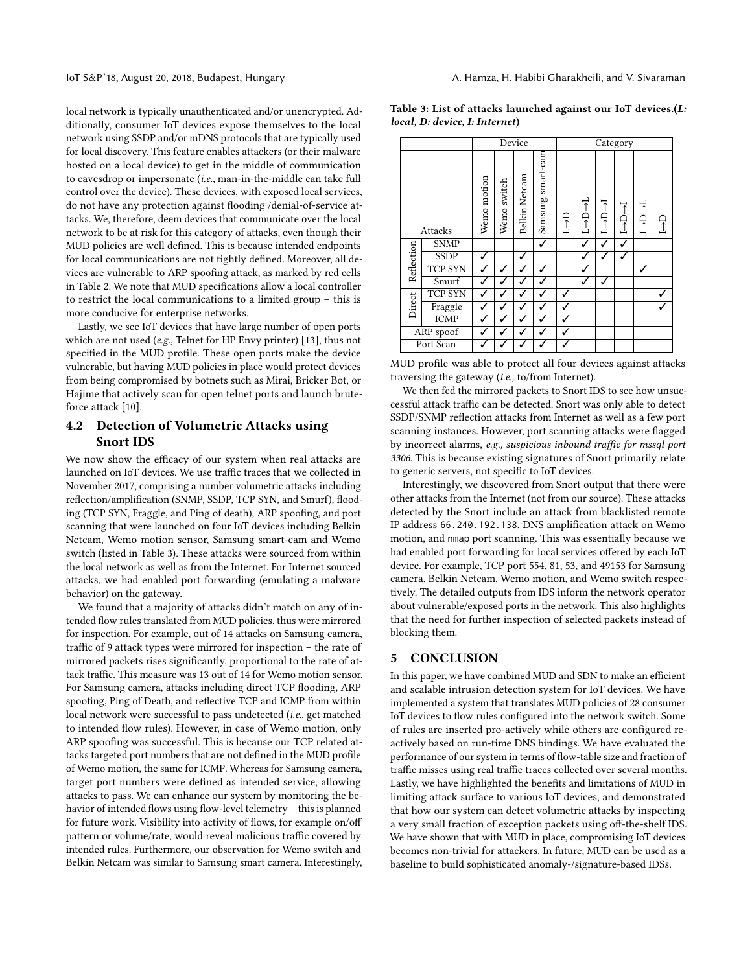IoT S&P'18, August 20, 2018, Budapest, Hungary A. Hamza, H. Habibi Gharakheili, and V. Sivaraman

local network is typically unauthenticated and/or unencrypted. Additionally, consumer IoT devices expose themselves to the local network using SSDP and/or mDNS protocols that are typically used for local discovery. This feature enables attackers (or their malware hosted on a local device) to get in the middle of communication to eavesdrop or impersonate (i.e., man-in-the-middle can take full control over the device). These devices, with exposed local services, do not have any protection against flooding /denial-of-service attacks. We, therefore, deem devices that communicate over the local network to be at risk for this category of attacks, even though their MUD policies are well defined. This is because intended endpoints for local communications are not tightly defined. Moreover, all devices are vulnerable to ARP spoofing attack, as marked by red cells in [Table 2.](#page-4-0) We note that MUD specifications allow a local controller to restrict the local communications to a limited group – this is more conducive for enterprise networks.

Lastly, we see IoT devices that have large number of open ports which are not used (e.g., Telnet for HP Envy printer) [\[13\]](#page-6-1), thus not specified in the MUD profile. These open ports make the device vulnerable, but having MUD policies in place would protect devices from being compromised by botnets such as Mirai, Bricker Bot, or Hajime that actively scan for open telnet ports and launch bruteforce attack [\[10\]](#page-6-3).

# 4.2 Detection of Volumetric Attacks using Snort IDS

We now show the efficacy of our system when real attacks are launched on IoT devices. We use traffic traces that we collected in November 2017, comprising a number volumetric attacks including reflection/amplification (SNMP, SSDP, TCP SYN, and Smurf), flooding (TCP SYN, Fraggle, and Ping of death), ARP spoofing, and port scanning that were launched on four IoT devices including Belkin Netcam, Wemo motion sensor, Samsung smart-cam and Wemo switch (listed in [Table 3\)](#page-5-0). These attacks were sourced from within the local network as well as from the Internet. For Internet sourced attacks, we had enabled port forwarding (emulating a malware behavior) on the gateway.

We found that a majority of attacks didn't match on any of intended flow rules translated from MUD policies, thus were mirrored for inspection. For example, out of 14 attacks on Samsung camera, traffic of 9 attack types were mirrored for inspection – the rate of mirrored packets rises significantly, proportional to the rate of attack traffic. This measure was 13 out of 14 for Wemo motion sensor. For Samsung camera, attacks including direct TCP flooding, ARP spoofing, Ping of Death, and reflective TCP and ICMP from within local network were successful to pass undetected (i.e., get matched to intended flow rules). However, in case of Wemo motion, only ARP spoofing was successful. This is because our TCP related attacks targeted port numbers that are not defined in the MUD profile of Wemo motion, the same for ICMP. Whereas for Samsung camera, target port numbers were defined as intended service, allowing attacks to pass. We can enhance our system by monitoring the behavior of intended flows using flow-level telemetry – this is planned for future work. Visibility into activity of flows, for example on/off pattern or volume/rate, would reveal malicious traffic covered by intended rules. Furthermore, our observation for Wemo switch and Belkin Netcam was similar to Samsung smart camera. Interestingly,

<span id="page-5-0"></span>

|  |                                | Table 3: List of attacks launched against our IoT devices.(L: |  |  |  |
|--|--------------------------------|---------------------------------------------------------------|--|--|--|
|  | local, D: device, I: Internet) |                                                               |  |  |  |

|            |                | Device      |             |               |                   | Category       |                                 |                            |     |             |               |  |
|------------|----------------|-------------|-------------|---------------|-------------------|----------------|---------------------------------|----------------------------|-----|-------------|---------------|--|
| Attacks    |                | Wemo motion | Wemo switch | Belkin Netcam | Samsung smart-cam | $\overline{1}$ | $I \rightarrow D \rightarrow L$ | $\vec{\uparrow}$<br>∫<br>⊥ | うり1 | $1 + 1 - 1$ | $\frac{1}{1}$ |  |
|            | <b>SNMP</b>    |             |             |               | ✓                 |                | ✓                               | ✓                          |     |             |               |  |
|            | SSDP           | ✓           |             | Ŷ             |                   |                | ✓                               | $\checkmark$               |     |             |               |  |
| Reflection | <b>TCP SYN</b> |             | J           | J             | ✓                 |                | ✓                               |                            |     | ✓           |               |  |
|            | Smurf          |             |             |               |                   |                |                                 | ✓                          |     |             |               |  |
|            | <b>TCP SYN</b> |             | ✔           |               |                   | ✓              |                                 |                            |     |             |               |  |
| Direct     | Fraggle        |             | J           |               |                   |                |                                 |                            |     |             |               |  |
|            | <b>ICMP</b>    |             | J           |               |                   |                |                                 |                            |     |             |               |  |
| ARP spoof  |                |             |             |               | √                 |                |                                 |                            |     |             |               |  |
| Port Scan  |                |             |             |               |                   |                |                                 |                            |     |             |               |  |

MUD profile was able to protect all four devices against attacks traversing the gateway (i.e., to/from Internet).

We then fed the mirrored packets to Snort IDS to see how unsuccessful attack traffic can be detected. Snort was only able to detect SSDP/SNMP reflection attacks from Internet as well as a few port scanning instances. However, port scanning attacks were flagged by incorrect alarms, e.g., suspicious inbound traffic for mssql port 3306. This is because existing signatures of Snort primarily relate to generic servers, not specific to IoT devices.

Interestingly, we discovered from Snort output that there were other attacks from the Internet (not from our source). These attacks detected by the Snort include an attack from blacklisted remote IP address 66.240.192.138, DNS amplification attack on Wemo motion, and nmap port scanning. This was essentially because we had enabled port forwarding for local services offered by each IoT device. For example, TCP port 554, 81, 53, and 49153 for Samsung camera, Belkin Netcam, Wemo motion, and Wemo switch respectively. The detailed outputs from IDS inform the network operator about vulnerable/exposed ports in the network. This also highlights that the need for further inspection of selected packets instead of blocking them.

# 5 CONCLUSION

In this paper, we have combined MUD and SDN to make an efficient and scalable intrusion detection system for IoT devices. We have implemented a system that translates MUD policies of 28 consumer IoT devices to flow rules configured into the network switch. Some of rules are inserted pro-actively while others are configured reactively based on run-time DNS bindings. We have evaluated the performance of our system in terms of flow-table size and fraction of traffic misses using real traffic traces collected over several months. Lastly, we have highlighted the benefits and limitations of MUD in limiting attack surface to various IoT devices, and demonstrated that how our system can detect volumetric attacks by inspecting a very small fraction of exception packets using off-the-shelf IDS. We have shown that with MUD in place, compromising IoT devices becomes non-trivial for attackers. In future, MUD can be used as a baseline to build sophisticated anomaly-/signature-based IDSs.